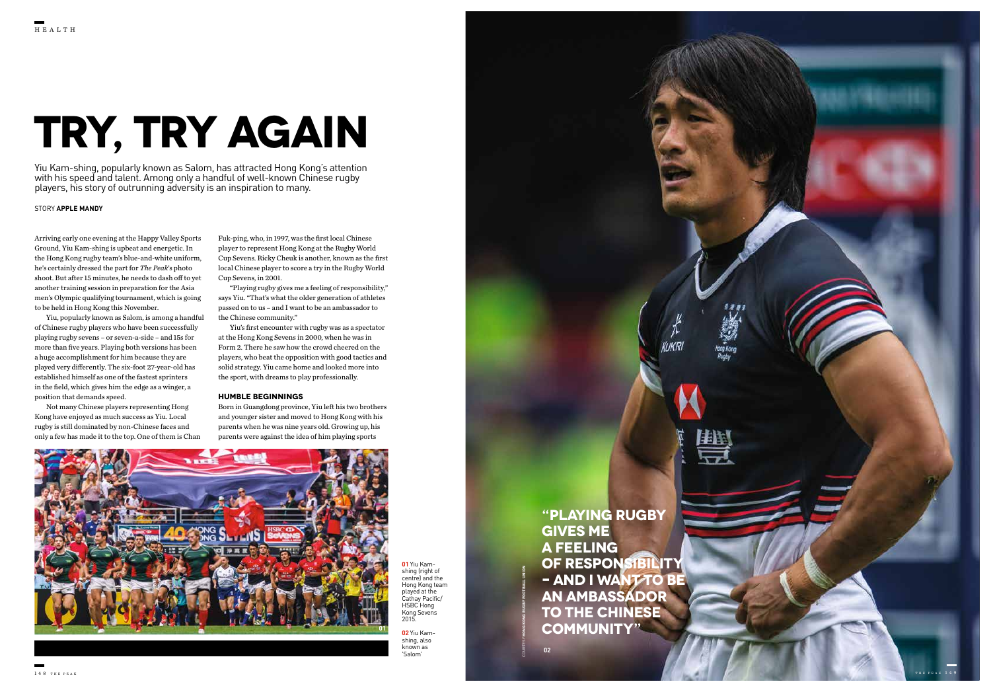### STORY **APPLE MANDY**

Yiu Kam-shing, popularly known as Salom, has attracted Hong Kong's attention with his speed and talent. Among only a handful of well-known Chinese rugby players, his story of outrunning adversity is an inspiration to many.

Arriving early one evening at the Happy Valley Sports Ground, Yiu Kam-shing is upbeat and energetic. In the Hong Kong rugby team's blue-and-white uniform, he's certainly dressed the part for *The Peak*'s photo shoot. But after 15 minutes, he needs to dash off to yet another training session in preparation for the Asia men's Olympic qualifying tournament, which is going to be held in Hong Kong this November.

Yiu, popularly known as Salom, is among a handful of Chinese rugby players who have been successfully playing rugby sevens – or seven-a-side – and 15s for more than five years. Playing both versions has been a huge accomplishment for him because they are played very differently. The six-foot 27-year-old has established himself as one of the fastest sprinters in the field, which gives him the edge as a winger, a position that demands speed.

> **01** Yiu Kamshing (right of centre) and the Hong Kong team played at the Cathay Pacific/ HSBC Hong Kong Sevens  $2015$

Not many Chinese players representing Hong Kong have enjoyed as much success as Yiu. Local rugby is still dominated by non-Chinese faces and only a few has made it to the top. One of them is Chan

Fuk-ping, who, in 1997, was the first local Chinese player to represent Hong Kong at the Rugby World Cup Sevens. Ricky Cheuk is another, known as the first local Chinese player to score a try in the Rugby World Cup Sevens, in 2001.

"Playing rugby gives me a feeling of responsibility," says Yiu. "That's what the older generation of athletes passed on to us – and I want to be an ambassador to the Chinese community."

Yiu's first encounter with rugby was as a spectator at the Hong Kong Sevens in 2000, when he was in Form 2. There he saw how the crowd cheered on the players, who beat the opposition with good tactics and solid strategy. Yiu came home and looked more into the sport, with dreams to play professionally.

# **HUMBLE BEGINNINGS**

Born in Guangdong province, Yiu left his two brothers and younger sister and moved to Hong Kong with his parents when he was nine years old. Growing up, his parents were against the idea of him playing sports

# **TRY, TRY AGAIN**

**"PLAYING RUGBY GIVES ME A FEELING OF RESPONSIBILITY – AND I WANT TO BE AN AMBASSADOR TO THE CHINESE COMMUNITY"** 

**02** Yiu Kamshing, also known as 'Salom'

COURTESY **HONG KONG RUGBY FOOTBALL UNION**





**02**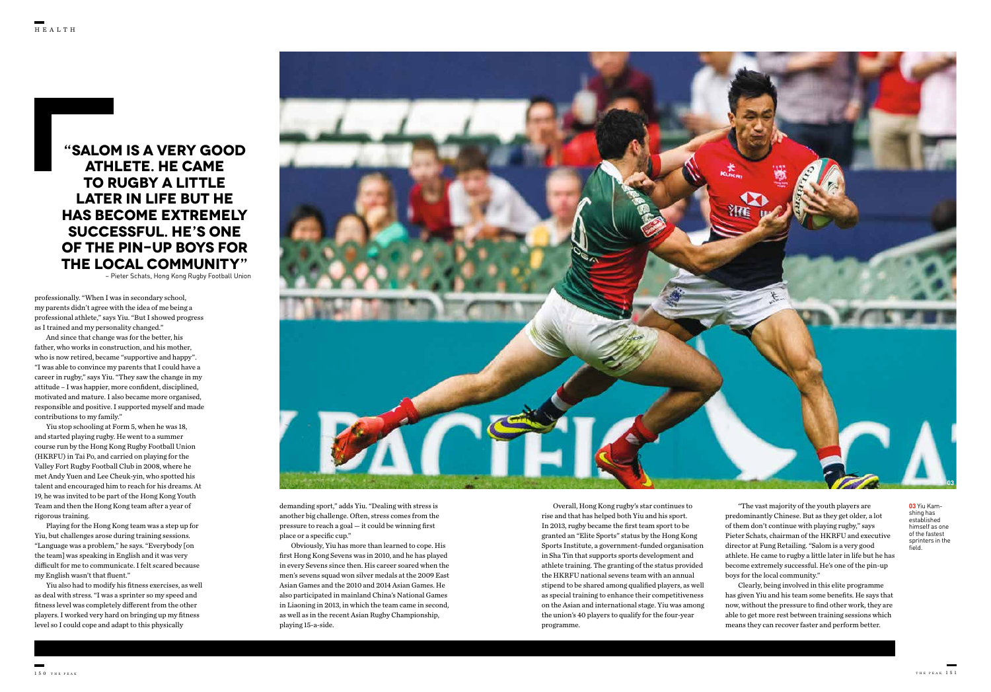**03** Yiu Kamshing has established himself as one of the fastest sprinters in the field.

professionally. "When I was in secondary school, my parents didn't agree with the idea of me being a professional athlete," says Yiu. "But I showed progress as I trained and my personality changed."

And since that change was for the better, his father, who works in construction, and his mother, who is now retired, became "supportive and happy". "I was able to convince my parents that I could have a career in rugby," says Yiu. "They saw the change in my attitude – I was happier, more confident, disciplined, motivated and mature. I also became more organised, responsible and positive. I supported myself and made contributions to my family."

Yiu stop schooling at Form 5, when he was 18, and started playing rugby. He went to a summer course run by the Hong Kong Rugby Football Union (HKRFU) in Tai Po, and carried on playing for the Valley Fort Rugby Football Club in 2008, where he met Andy Yuen and Lee Cheuk-yin, who spotted his talent and encouraged him to reach for his dreams. At 19, he was invited to be part of the Hong Kong Youth Team and then the Hong Kong team after a year of rigorous training.

Playing for the Hong Kong team was a step up for Yiu, but challenges arose during training sessions. "Language was a problem," he says. "Everybody [on the team] was speaking in English and it was very difficult for me to communicate. I felt scared because my English wasn't that fluent."

Yiu also had to modify his fitness exercises, as well as deal with stress. "I was a sprinter so my speed and fitness level was completely different from the other players. I worked very hard on bringing up my fitness level so I could cope and adapt to this physically

**"SALOM IS A VERY GOOD ATHLETE. HE CAME TO RUGBY A LITTLE LATER IN LIFE BUT HE HAS BECOME EXTREMELY SUCCESSFUL. HE'S ONE OF THE PIN-UP BOYS FOR THE LOCAL COMMUNITY"**

– Pieter Schats, Hong Kong Rugby Football Union

Overall, Hong Kong rugby's star continues to rise and that has helped both Yiu and his sport. In 2013, rugby became the first team sport to be granted an "Elite Sports" status by the Hong Kong Sports Institute, a government-funded organisation in Sha Tin that supports sports development and athlete training. The granting of the status provided the HKRFU national sevens team with an annual stipend to be shared among qualified players, as well as special training to enhance their competitiveness on the Asian and international stage. Yiu was among the union's 40 players to qualify for the four-year programme.

 "The vast majority of the youth players are predominantly Chinese. But as they get older, a lot of them don't continue with playing rugby," says Pieter Schats, chairman of the HKRFU and executive director at Fung Retailing. "Salom is a very good athlete. He came to rugby a little later in life but he has become extremely successful. He's one of the pin-up boys for the local community."

 Clearly, being involved in this elite programme has given Yiu and his team some benefits. He says that now, without the pressure to find other work, they are able to get more rest between training sessions which means they can recover faster and perform better.

demanding sport," adds Yiu. "Dealing with stress is another big challenge. Often, stress comes from the pressure to reach a goal — it could be winning first place or a specific cup."

Obviously, Yiu has more than learned to cope. His first Hong Kong Sevens was in 2010, and he has played in every Sevens since then. His career soared when the men's sevens squad won silver medals at the 2009 East Asian Games and the 2010 and 2014 Asian Games. He also participated in mainland China's National Games in Liaoning in 2013, in which the team came in second, as well as in the recent Asian Rugby Championship, playing 15-a-side.